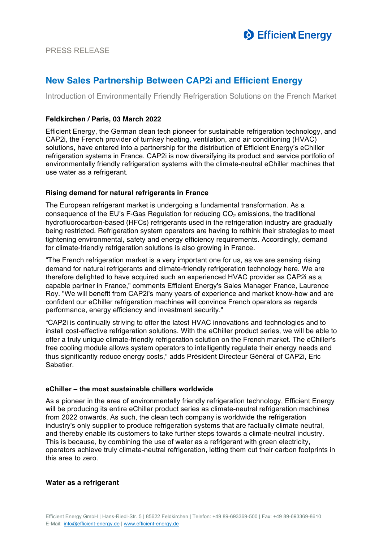

# **New Sales Partnership Between CAP2i and Efficient Energy**

Introduction of Environmentally Friendly Refrigeration Solutions on the French Market

# **Feldkirchen / Paris, 03 March 2022**

Efficient Energy, the German clean tech pioneer for sustainable refrigeration technology, and CAP2i, the French provider of turnkey heating, ventilation, and air conditioning (HVAC) solutions, have entered into a partnership for the distribution of Efficient Energy's eChiller refrigeration systems in France. CAP2i is now diversifying its product and service portfolio of environmentally friendly refrigeration systems with the climate-neutral eChiller machines that use water as a refrigerant.

# **Rising demand for natural refrigerants in France**

The European refrigerant market is undergoing a fundamental transformation. As a consequence of the EU's F-Gas Regulation for reducing  $CO<sub>2</sub>$  emissions, the traditional hydrofluorocarbon-based (HFCs) refrigerants used in the refrigeration industry are gradually being restricted. Refrigeration system operators are having to rethink their strategies to meet tightening environmental, safety and energy efficiency requirements. Accordingly, demand for climate-friendly refrigeration solutions is also growing in France.

"The French refrigeration market is a very important one for us, as we are sensing rising demand for natural refrigerants and climate-friendly refrigeration technology here. We are therefore delighted to have acquired such an experienced HVAC provider as CAP2i as a capable partner in France," comments Efficient Energy's Sales Manager France, Laurence Roy. "We will benefit from CAP2i's many years of experience and market know-how and are confident our eChiller refrigeration machines will convince French operators as regards performance, energy efficiency and investment security."

"CAP2i is continually striving to offer the latest HVAC innovations and technologies and to install cost-effective refrigeration solutions. With the eChiller product series, we will be able to offer a truly unique climate-friendly refrigeration solution on the French market. The eChiller's free cooling module allows system operators to intelligently regulate their energy needs and thus significantly reduce energy costs," adds Président Directeur Général of CAP2i, Eric **Sabatier** 

# **eChiller – the most sustainable chillers worldwide**

As a pioneer in the area of environmentally friendly refrigeration technology, Efficient Energy will be producing its entire eChiller product series as climate-neutral refrigeration machines from 2022 onwards. As such, the clean tech company is worldwide the refrigeration industry's only supplier to produce refrigeration systems that are factually climate neutral, and thereby enable its customers to take further steps towards a climate-neutral industry. This is because, by combining the use of water as a refrigerant with green electricity, operators achieve truly climate-neutral refrigeration, letting them cut their carbon footprints in this area to zero.

## **Water as a refrigerant**